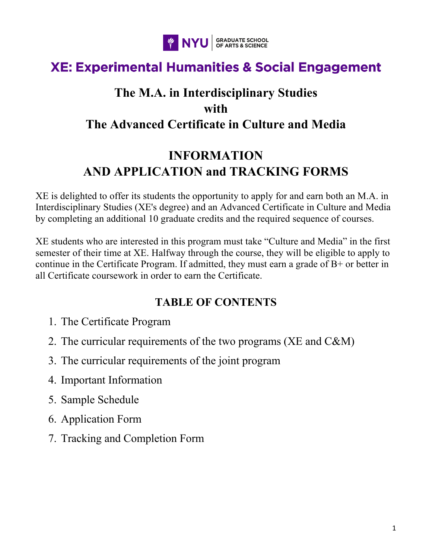

# **XE: Experimental Humanities & Social Engagement**

## **The M.A. in Interdisciplinary Studies with The Advanced Certificate in Culture and Media**

# **INFORMATION AND APPLICATION and TRACKING FORMS**

XE is delighted to offer its students the opportunity to apply for and earn both an M.A. in Interdisciplinary Studies (XE's degree) and an Advanced Certificate in Culture and Media by completing an additional 10 graduate credits and the required sequence of courses.

XE students who are interested in this program must take "Culture and Media" in the first semester of their time at XE. Halfway through the course, they will be eligible to apply to continue in the Certificate Program. If admitted, they must earn a grade of  $B<sup>+</sup>$  or better in all Certificate coursework in order to earn the Certificate.

## **TABLE OF CONTENTS**

- 1. The Certificate Program
- 2. The curricular requirements of the two programs (XE and C&M)
- 3. The curricular requirements of the joint program
- 4. Important Information
- 5. Sample Schedule
- 6. Application Form
- 7. Tracking and Completion Form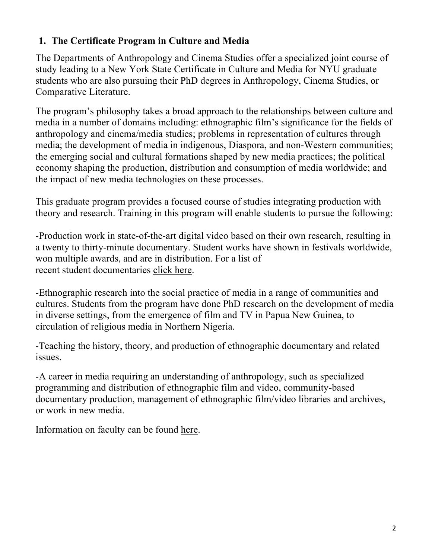## **1. The Certificate Program in Culture and Media**

The Departments of Anthropology and Cinema Studies offer a specialized joint course of study leading to a New York State Certificate in Culture and Media for NYU graduate students who are also pursuing their PhD degrees in Anthropology, Cinema Studies, or Comparative Literature.

The program's philosophy takes a broad approach to the relationships between culture and media in a number of domains including: ethnographic film's significance for the fields of anthropology and cinema/media studies; problems in representation of cultures through media; the development of media in indigenous, Diaspora, and non-Western communities; the emerging social and cultural formations shaped by new media practices; the political economy shaping the production, distribution and consumption of media worldwide; and the impact of new media technologies on these processes.

This graduate program provides a focused course of studies integrating production with theory and research. Training in this program will enable students to pursue the following:

-Production work in state-of-the-art digital video based on their own research, resulting in a twenty to thirty-minute documentary. Student works have shown in festivals worldwide, won multiple awards, and are in distribution. For a list of recent student documentaries click here.

-Ethnographic research into the social practice of media in a range of communities and cultures. Students from the program have done PhD research on the development of media in diverse settings, from the emergence of film and TV in Papua New Guinea, to circulation of religious media in Northern Nigeria.

-Teaching the history, theory, and production of ethnographic documentary and related issues.

-A career in media requiring an understanding of anthropology, such as specialized programming and distribution of ethnographic film and video, community-based documentary production, management of ethnographic film/video libraries and archives, or work in new media.

Information on faculty can be found here.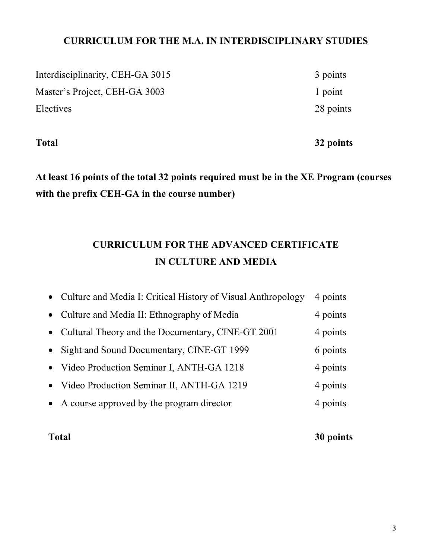## **CURRICULUM FOR THE M.A. IN INTERDISCIPLINARY STUDIES**

Interdisciplinarity, CEH-GA 3015 3 points Master's Project, CEH-GA 3003 1 point Electives 28 points

**Total 32 points**

**At least 16 points of the total 32 points required must be in the XE Program (courses with the prefix CEH-GA in the course number)**

## **CURRICULUM FOR THE ADVANCED CERTIFICATE IN CULTURE AND MEDIA**

| • Culture and Media I: Critical History of Visual Anthropology | 4 points |
|----------------------------------------------------------------|----------|
| • Culture and Media II: Ethnography of Media                   | 4 points |
| • Cultural Theory and the Documentary, CINE-GT 2001            | 4 points |
| • Sight and Sound Documentary, CINE-GT 1999                    | 6 points |
| • Video Production Seminar I, ANTH-GA 1218                     | 4 points |
| • Video Production Seminar II, ANTH-GA 1219                    | 4 points |
| • A course approved by the program director                    | 4 points |

**Total 30 points**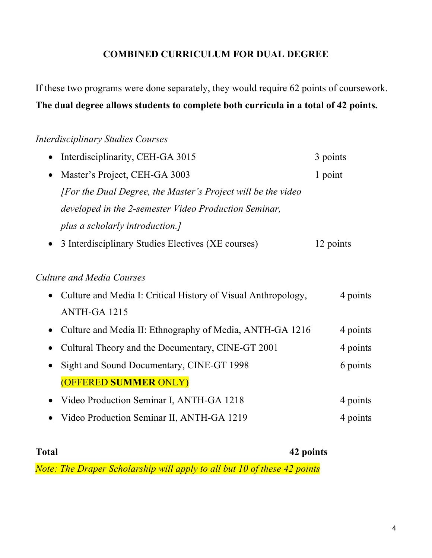## **COMBINED CURRICULUM FOR DUAL DEGREE**

If these two programs were done separately, they would require 62 points of coursework. **The dual degree allows students to complete both curricula in a total of 42 points.**

### *Interdisciplinary Studies Courses*

| Interdisciplinarity, CEH-GA 3015                              | 3 points  |
|---------------------------------------------------------------|-----------|
| Master's Project, CEH-GA 3003<br>$\bullet$                    | 1 point   |
| [For the Dual Degree, the Master's Project will be the video] |           |
| developed in the 2-semester Video Production Seminar,         |           |
| plus a scholarly introduction.]                               |           |
| 3 Interdisciplinary Studies Electives (XE courses)            | 12 points |
| Culture and Media Courses                                     |           |
| Culture and Media I: Critical History of Visual Anthropology, | 4 points  |
| ANTH-GA 1215                                                  |           |
| Culture and Media II: Ethnography of Media, ANTH-GA 1216      | 4 points  |
| Cultural Theory and the Documentary, CINE-GT 2001             | 4 points  |
| Sight and Sound Documentary, CINE-GT 1998                     | 6 points  |
| (OFFERED SUMMER ONLY)                                         |           |
| Video Production Seminar I, ANTH-GA 1218<br>$\bullet$         | 4 points  |
| Video Production Seminar II, ANTH-GA 1219                     | 4 points  |
|                                                               |           |

**Total 42 points** *Note: The Draper Scholarship will apply to all but 10 of these 42 points*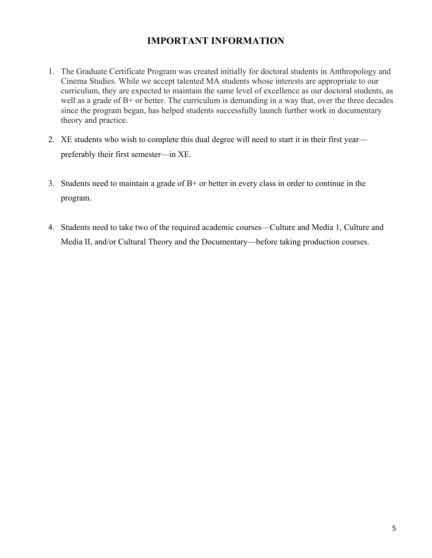## **IMPORTANT INFORMATION**

- 1. The Graduate Certificate Program was created initially for doctoral students in Anthropology and Cinema Studies. While we accept talented MA students whose interests are appropriate to our curriculum, they are expected to maintain the same level of excellence as our doctoral students, as well as a grade of B+ or better. The curriculum is demanding in a way that, over the three decades since the program began, has helped students successfully launch further work in documentary theory and practice.
- 2. XE students who wish to complete this dual degree will need to start it in their first year preferably their first semester—in XE.
- 3. Students need to maintain a grade of B+ or better in every class in order to continue in the program.
- 4. Students need to take two of the required academic courses—Culture and Media 1, Culture and Media II, and/or Cultural Theory and the Documentary—before taking production courses.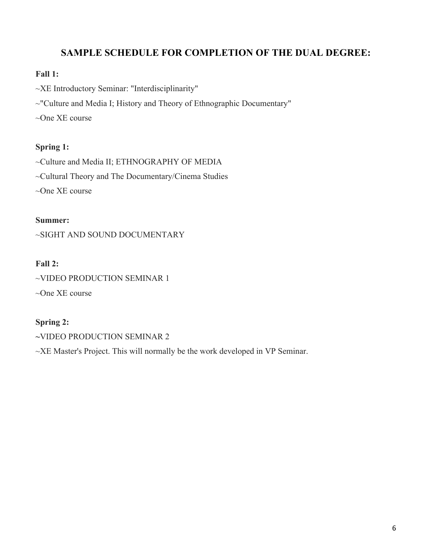## **SAMPLE SCHEDULE FOR COMPLETION OF THE DUAL DEGREE:**

#### **Fall 1:**

~XE Introductory Seminar: "Interdisciplinarity"

~"Culture and Media I; History and Theory of Ethnographic Documentary"

~One XE course

#### **Spring 1:**

~Culture and Media II; ETHNOGRAPHY OF MEDIA

~Cultural Theory and The Documentary/Cinema Studies

~One XE course

#### **Summer:**

~SIGHT AND SOUND DOCUMENTARY

#### **Fall 2:**

~VIDEO PRODUCTION SEMINAR 1

~One XE course

#### **Spring 2:**

**~**VIDEO PRODUCTION SEMINAR 2

~XE Master's Project. This will normally be the work developed in VP Seminar.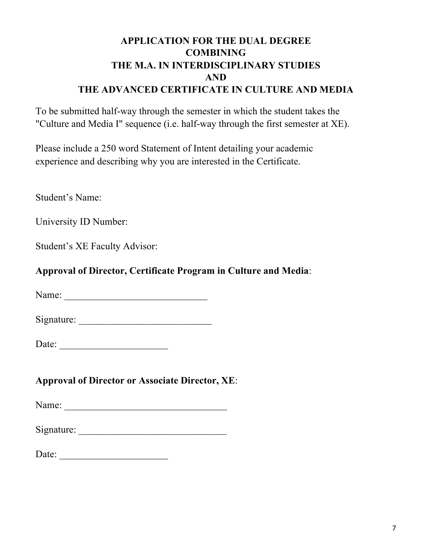## **APPLICATION FOR THE DUAL DEGREE COMBINING THE M.A. IN INTERDISCIPLINARY STUDIES AND THE ADVANCED CERTIFICATE IN CULTURE AND MEDIA**

To be submitted half-way through the semester in which the student takes the "Culture and Media I" sequence (i.e. half-way through the first semester at XE).

Please include a 250 word Statement of Intent detailing your academic experience and describing why you are interested in the Certificate.

Student's Name:

University ID Number:

Student's XE Faculty Advisor:

## **Approval of Director, Certificate Program in Culture and Media**:

Name: \_\_\_\_\_\_\_\_\_\_\_\_\_\_\_\_\_\_\_\_\_\_\_\_\_\_\_\_\_

Signature: \_\_\_\_\_\_\_\_\_\_\_\_\_\_\_\_\_\_\_\_\_\_\_\_\_\_\_

Date: \_\_\_\_\_\_\_\_\_\_\_\_\_\_\_\_\_\_\_\_\_\_

**Approval of Director or Associate Director, XE**:

Name: \_\_\_\_\_\_\_\_\_\_\_\_\_\_\_\_\_\_\_\_\_\_\_\_\_\_\_\_\_\_\_\_\_

Signature: \_\_\_\_\_\_\_\_\_\_\_\_\_\_\_\_\_\_\_\_\_\_\_\_\_\_\_\_\_\_

Date: \_\_\_\_\_\_\_\_\_\_\_\_\_\_\_\_\_\_\_\_\_\_